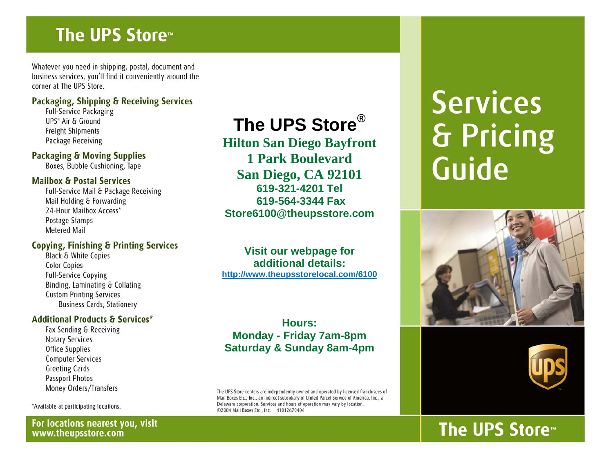# The UPS Store

Whatever you need in shipping, postal, document and business services, you'll find it conveniently around the corner at The UPS Store.

#### Packaging, Shipping & Receiving Services

**Full-Service Packaging** UPS® Air & Ground **Freight Shipments** Package Receiving

#### **Packaging & Moving Supplies**

Boxes, Bubble Cushioning, Tape

#### **Mailbox & Postal Services**

Full-Service Mail & Package Receiving Mail Holding & Forwarding 24-Hour Mailbox Access\* Postage Stamps **Metered Mail** 

#### **Copying, Finishing & Printing Services**

Black & White Copies **Color Copies Full-Service Copying** Binding, Laminating & Collating **Custom Printing Services Business Cards, Stationery** 

#### **Additional Products & Services\***

Fax Sending & Receiving **Notary Services Office Supplies Computer Services Greeting Cards** Passport Photos Money Orders/Transfers

\*Available at participating locations.

#### For locations nearest you, visit www.theupsstore.com

# The UPS Store<sup>®</sup>

**Hilton San Diego Bayfront 1 Park Boulevard** San Diego, CA 92101 619-321-4201 Tel 619-564-3344 Fax Store6100@theupsstore.com

Visit our webpage for additional details: http://www.theupsstorelocal.com/6100

**Hours: Monday - Friday 7am-8pm Saturday & Sunday 8am-4pm** 

The UPS Store centers are independently owned and operated by licensed franchisees of Mail Boxes Etc., Inc., an indirect subsidiary of United Parcel Service of America, Inc., a Delaware corporation. Services and hours of operation may vary by location. ©2004 Mail Boxes Etc., Inc. 41012670404

# **Services** & Pricing Guide





# The UPS Store™